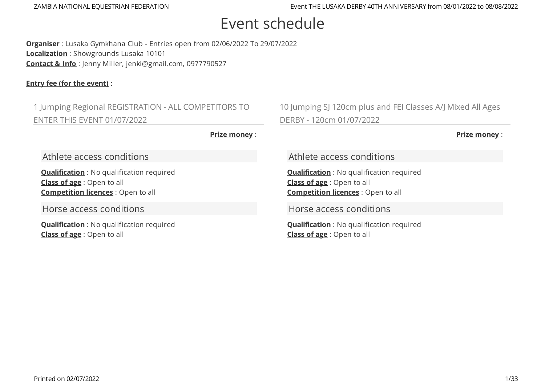# Event schedule

**Organiser** : Lusaka Gymkhana Club - Entries open from 02/06/2022 To 29/07/2022 **Localization** : Showgrounds Lusaka 10101 **Contact & Info** : Jenny Miller, jenki@gmail.com, 0977790527

### **Entry fee (for the event)** :

1 Jumping Regional REGISTRATION - ALL COMPETITORS TO ENTER THIS EVENT 01/07/2022

**Prize money** :

Athlete access conditions

**Qualification** : No qualification required **Class of age** : Open to all **Competition licences** : Open to all

Horse access conditions

**Qualification** : No qualification required **Class of age** : Open to all

10 Jumping SJ 120cm plus and FEI Classes A/J Mixed All Ages DERBY - 120cm 01/07/2022

**Prize money** :

Athlete access conditions

**Qualification** : No qualification required **Class of age** : Open to all **Competition licences** : Open to all

Horse access conditions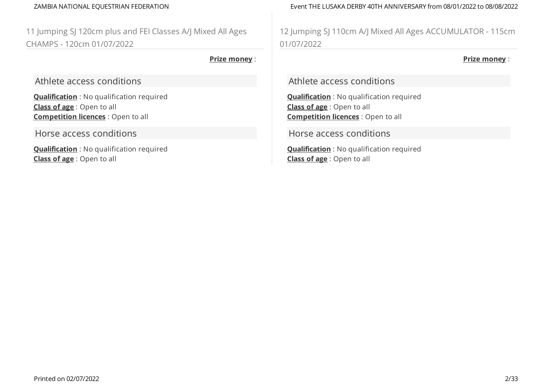11 Jumping SJ 120cm plus and FEI Classes A/J Mixed All Ages CHAMPS - 120cm 01/07/2022

### **Prize money** :

Athlete access conditions

**Qualification** : No qualification required **Class of age** : Open to all **Competition licences** : Open to all

Horse access conditions

**Qualification** : No qualification required **Class of age** : Open to all

ZAMBIA NATIONAL EQUESTRIAN FEDERATION Event THE LUSAKA DERBY 40TH ANNIVERSARY from 08/01/2022 to 08/08/2022

12 Jumping SJ 110cm A/J Mixed All Ages ACCUMULATOR - 115cm 01/07/2022

**Prize money** :

Athlete access conditions

**Qualification** : No qualification required **Class of age** : Open to all **Competition licences** : Open to all

Horse access conditions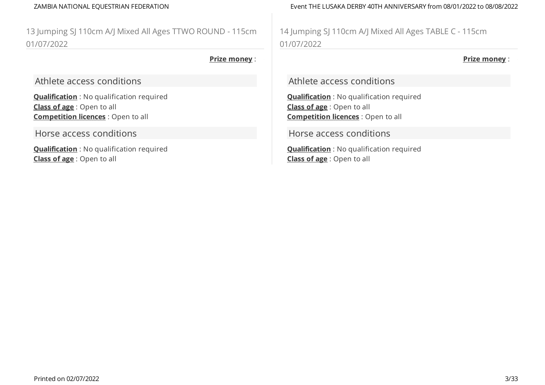13 Jumping SJ 110cm A/J Mixed All Ages TTWO ROUND - 115cm 01/07/2022

### **Prize money** :

Athlete access conditions

**Qualification** : No qualification required **Class of age** : Open to all **Competition licences** : Open to all

Horse access conditions

**Qualification** : No qualification required **Class of age** : Open to all

ZAMBIA NATIONAL EQUESTRIAN FEDERATION Event THE LUSAKA DERBY 40TH ANNIVERSARY from 08/01/2022 to 08/08/2022

14 Jumping SJ 110cm A/J Mixed All Ages TABLE C - 115cm 01/07/2022

**Prize money** :

Athlete access conditions

**Qualification** : No qualification required **Class of age** : Open to all **Competition licences** : Open to all

Horse access conditions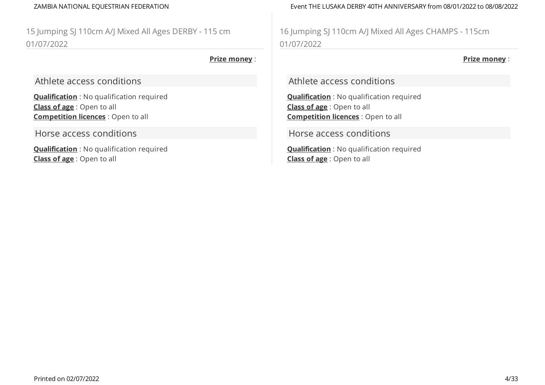15 Jumping SJ 110cm A/J Mixed All Ages DERBY - 115 cm 01/07/2022

### **Prize money** :

Athlete access conditions

**Qualification** : No qualification required **Class of age** : Open to all **Competition licences** : Open to all

Horse access conditions

**Qualification** : No qualification required **Class of age** : Open to all

ZAMBIA NATIONAL EQUESTRIAN FEDERATION Event THE LUSAKA DERBY 40TH ANNIVERSARY from 08/01/2022 to 08/08/2022

16 Jumping SJ 110cm A/J Mixed All Ages CHAMPS - 115cm 01/07/2022

**Prize money** :

Athlete access conditions

**Qualification** : No qualification required **Class of age** : Open to all **Competition licences** : Open to all

Horse access conditions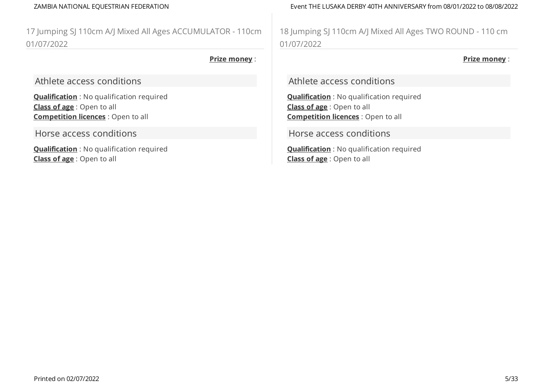17 Jumping SJ 110cm A/J Mixed All Ages ACCUMULATOR - 110cm 01/07/2022

### **Prize money** :

Athlete access conditions

**Qualification** : No qualification required **Class of age** : Open to all **Competition licences** : Open to all

Horse access conditions

**Qualification** : No qualification required **Class of age** : Open to all

ZAMBIA NATIONAL EQUESTRIAN FEDERATION Event THE LUSAKA DERBY 40TH ANNIVERSARY from 08/01/2022 to 08/08/2022

18 Jumping SJ 110cm A/J Mixed All Ages TWO ROUND - 110 cm 01/07/2022

**Prize money** :

Athlete access conditions

**Qualification** : No qualification required **Class of age** : Open to all **Competition licences** : Open to all

Horse access conditions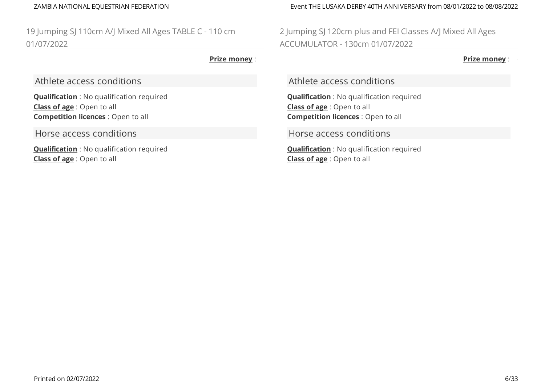19 Jumping SJ 110cm A/J Mixed All Ages TABLE C - 110 cm 01/07/2022

### **Prize money** :

Athlete access conditions

**Qualification** : No qualification required **Class of age** : Open to all **Competition licences** : Open to all

Horse access conditions

**Qualification** : No qualification required **Class of age** : Open to all

ZAMBIA NATIONAL EQUESTRIAN FEDERATION Event THE LUSAKA DERBY 40TH ANNIVERSARY from 08/01/2022 to 08/08/2022

2 Jumping SJ 120cm plus and FEI Classes A/J Mixed All Ages ACCUMULATOR - 130cm 01/07/2022

**Prize money** :

Athlete access conditions

**Qualification** : No qualification required **Class of age** : Open to all **Competition licences** : Open to all

Horse access conditions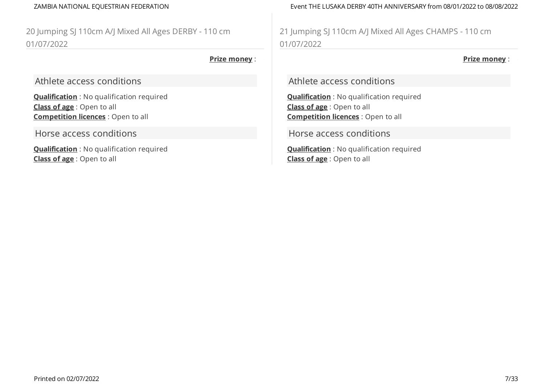20 Jumping SJ 110cm A/J Mixed All Ages DERBY - 110 cm 01/07/2022

### **Prize money** :

Athlete access conditions

**Qualification** : No qualification required **Class of age** : Open to all **Competition licences** : Open to all

Horse access conditions

**Qualification** : No qualification required **Class of age** : Open to all

ZAMBIA NATIONAL EQUESTRIAN FEDERATION Event THE LUSAKA DERBY 40TH ANNIVERSARY from 08/01/2022 to 08/08/2022

21 Jumping SJ 110cm A/J Mixed All Ages CHAMPS - 110 cm 01/07/2022

**Prize money** :

Athlete access conditions

**Qualification** : No qualification required **Class of age** : Open to all **Competition licences** : Open to all

Horse access conditions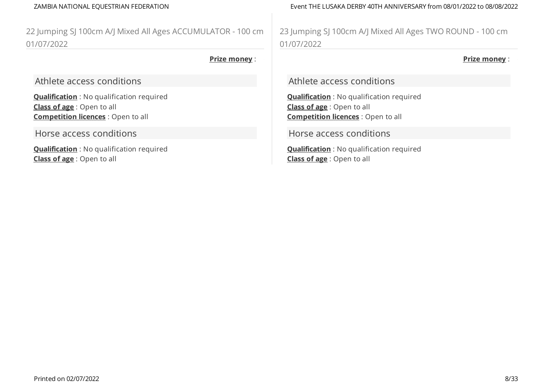22 Jumping SJ 100cm A/J Mixed All Ages ACCUMULATOR - 100 cm 01/07/2022

### **Prize money** :

Athlete access conditions

**Qualification** : No qualification required **Class of age** : Open to all **Competition licences** : Open to all

Horse access conditions

**Qualification** : No qualification required **Class of age** : Open to all

ZAMBIA NATIONAL EQUESTRIAN FEDERATION Event THE LUSAKA DERBY 40TH ANNIVERSARY from 08/01/2022 to 08/08/2022

23 Jumping SJ 100cm A/J Mixed All Ages TWO ROUND - 100 cm 01/07/2022

**Prize money** :

Athlete access conditions

**Qualification** : No qualification required **Class of age** : Open to all **Competition licences** : Open to all

Horse access conditions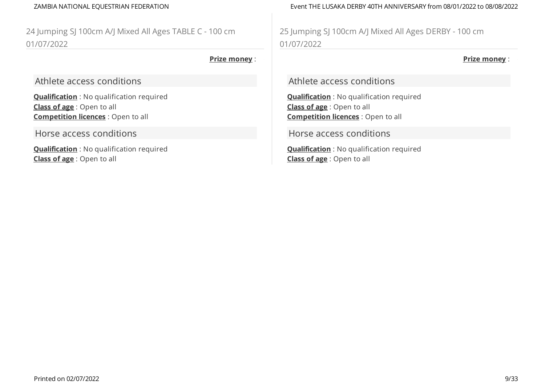24 Jumping SJ 100cm A/J Mixed All Ages TABLE C - 100 cm 01/07/2022

### **Prize money** :

Athlete access conditions

**Qualification** : No qualification required **Class of age** : Open to all **Competition licences** : Open to all

Horse access conditions

**Qualification** : No qualification required **Class of age** : Open to all

ZAMBIA NATIONAL EQUESTRIAN FEDERATION Event THE LUSAKA DERBY 40TH ANNIVERSARY from 08/01/2022 to 08/08/2022

25 Jumping SJ 100cm A/J Mixed All Ages DERBY - 100 cm 01/07/2022

**Prize money** :

Athlete access conditions

**Qualification** : No qualification required **Class of age** : Open to all **Competition licences** : Open to all

Horse access conditions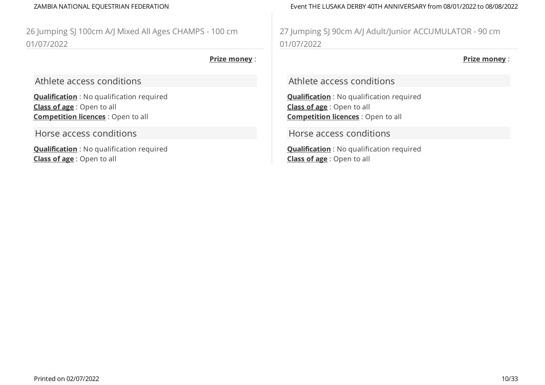26 Jumping SJ 100cm A/J Mixed All Ages CHAMPS - 100 cm 01/07/2022

### **Prize money** :

Athlete access conditions

**Qualification** : No qualification required **Class of age** : Open to all **Competition licences** : Open to all

Horse access conditions

**Qualification** : No qualification required **Class of age** : Open to all

ZAMBIA NATIONAL EQUESTRIAN FEDERATION Event THE LUSAKA DERBY 40TH ANNIVERSARY from 08/01/2022 to 08/08/2022

27 Jumping SJ 90cm A/J Adult/Junior ACCUMULATOR - 90 cm 01/07/2022

**Prize money** :

Athlete access conditions

**Qualification** : No qualification required **Class of age** : Open to all **Competition licences** : Open to all

Horse access conditions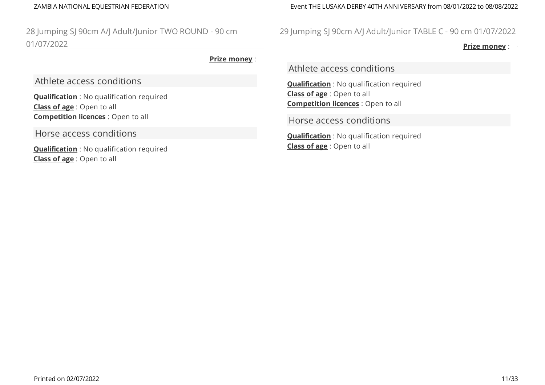28 Jumping SJ 90cm A/J Adult/Junior TWO ROUND - 90 cm 01/07/2022

### **Prize money** :

Athlete access conditions

**Qualification** : No qualification required **Class of age** : Open to all **Competition licences** : Open to all

Horse access conditions

**Qualification** : No qualification required **Class of age** : Open to all

ZAMBIA NATIONAL EQUESTRIAN FEDERATION Event THE LUSAKA DERBY 40TH ANNIVERSARY from 08/01/2022 to 08/08/2022

# 29 Jumping SJ 90cm A/J Adult/Junior TABLE C - 90 cm 01/07/2022

**Prize money** :

Athlete access conditions

**Qualification** : No qualification required **Class of age** : Open to all **Competition licences** : Open to all

Horse access conditions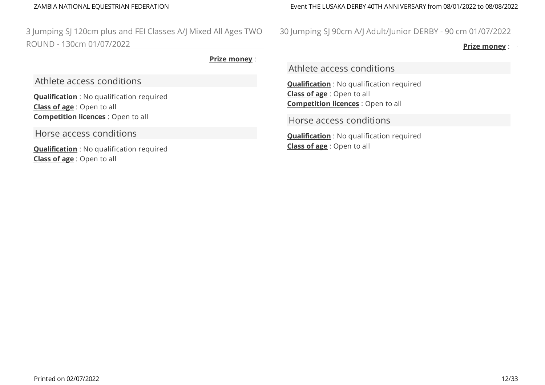3 Jumping SJ 120cm plus and FEI Classes A/J Mixed All Ages TWO ROUND - 130cm 01/07/2022

**Prize money** :

Athlete access conditions

**Qualification** : No qualification required **Class of age** : Open to all **Competition licences** : Open to all

Horse access conditions

**Qualification** : No qualification required **Class of age** : Open to all

ZAMBIA NATIONAL EQUESTRIAN FEDERATION Event THE LUSAKA DERBY 40TH ANNIVERSARY from 08/01/2022 to 08/08/2022

30 Jumping SJ 90cm A/J Adult/Junior DERBY - 90 cm 01/07/2022

**Prize money** :

Athlete access conditions

**Qualification** : No qualification required **Class of age** : Open to all **Competition licences** : Open to all

Horse access conditions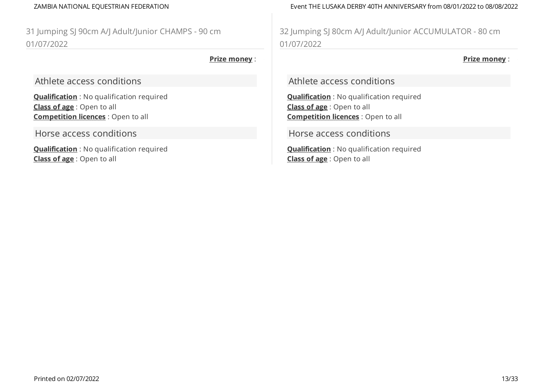31 Jumping SJ 90cm A/J Adult/Junior CHAMPS - 90 cm 01/07/2022

### **Prize money** :

Athlete access conditions

**Qualification** : No qualification required **Class of age** : Open to all **Competition licences** : Open to all

Horse access conditions

**Qualification** : No qualification required **Class of age** : Open to all

ZAMBIA NATIONAL EQUESTRIAN FEDERATION Event THE LUSAKA DERBY 40TH ANNIVERSARY from 08/01/2022 to 08/08/2022

32 Jumping SJ 80cm A/J Adult/Junior ACCUMULATOR - 80 cm 01/07/2022

**Prize money** :

Athlete access conditions

**Qualification** : No qualification required **Class of age** : Open to all **Competition licences** : Open to all

Horse access conditions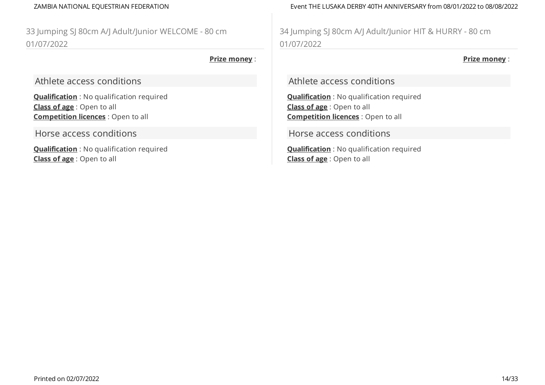33 Jumping SJ 80cm A/J Adult/Junior WELCOME - 80 cm 01/07/2022

### **Prize money** :

Athlete access conditions

**Qualification** : No qualification required **Class of age** : Open to all **Competition licences** : Open to all

Horse access conditions

**Qualification** : No qualification required **Class of age** : Open to all

ZAMBIA NATIONAL EQUESTRIAN FEDERATION Event THE LUSAKA DERBY 40TH ANNIVERSARY from 08/01/2022 to 08/08/2022

34 Jumping SJ 80cm A/J Adult/Junior HIT & HURRY - 80 cm 01/07/2022

**Prize money** :

Athlete access conditions

**Qualification** : No qualification required **Class of age** : Open to all **Competition licences** : Open to all

Horse access conditions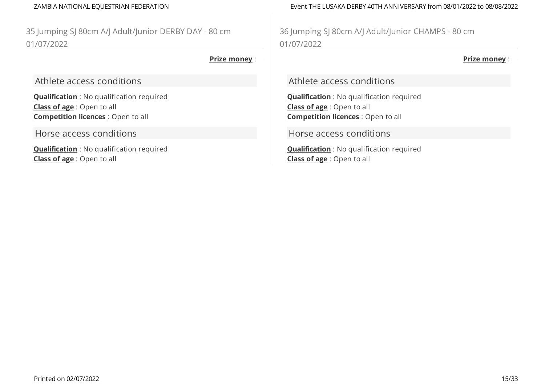35 Jumping SJ 80cm A/J Adult/Junior DERBY DAY - 80 cm 01/07/2022

### **Prize money** :

Athlete access conditions

**Qualification** : No qualification required **Class of age** : Open to all **Competition licences** : Open to all

Horse access conditions

**Qualification** : No qualification required **Class of age** : Open to all

ZAMBIA NATIONAL EQUESTRIAN FEDERATION Event THE LUSAKA DERBY 40TH ANNIVERSARY from 08/01/2022 to 08/08/2022

36 Jumping SJ 80cm A/J Adult/Junior CHAMPS - 80 cm 01/07/2022

**Prize money** :

Athlete access conditions

**Qualification** : No qualification required **Class of age** : Open to all **Competition licences** : Open to all

Horse access conditions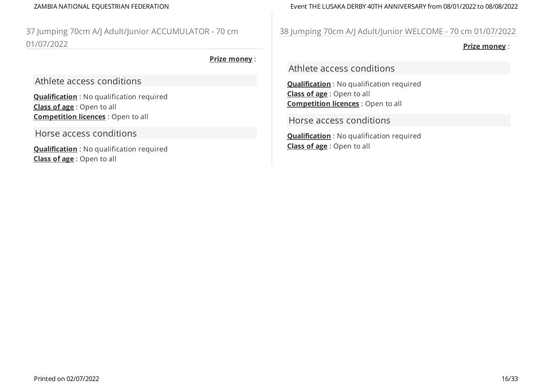37 Jumping 70cm A/J Adult/Junior ACCUMULATOR - 70 cm 01/07/2022

### **Prize money** :

Athlete access conditions

**Qualification** : No qualification required **Class of age** : Open to all **Competition licences** : Open to all

Horse access conditions

**Qualification** : No qualification required **Class of age** : Open to all

ZAMBIA NATIONAL EQUESTRIAN FEDERATION Event THE LUSAKA DERBY 40TH ANNIVERSARY from 08/01/2022 to 08/08/2022

38 Jumping 70cm A/J Adult/Junior WELCOME - 70 cm 01/07/2022

**Prize money** :

Athlete access conditions

**Qualification** : No qualification required **Class of age** : Open to all **Competition licences** : Open to all

Horse access conditions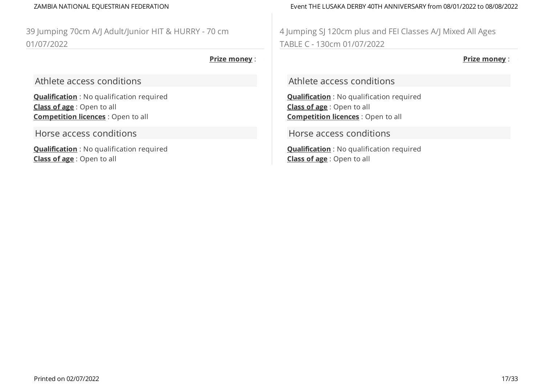39 Jumping 70cm A/J Adult/Junior HIT & HURRY - 70 cm 01/07/2022

### **Prize money** :

Athlete access conditions

**Qualification** : No qualification required **Class of age** : Open to all **Competition licences** : Open to all

Horse access conditions

**Qualification** : No qualification required **Class of age** : Open to all

ZAMBIA NATIONAL EQUESTRIAN FEDERATION Event THE LUSAKA DERBY 40TH ANNIVERSARY from 08/01/2022 to 08/08/2022

4 Jumping SJ 120cm plus and FEI Classes A/J Mixed All Ages TABLE C - 130cm 01/07/2022

**Prize money** :

Athlete access conditions

**Qualification** : No qualification required **Class of age** : Open to all **Competition licences** : Open to all

Horse access conditions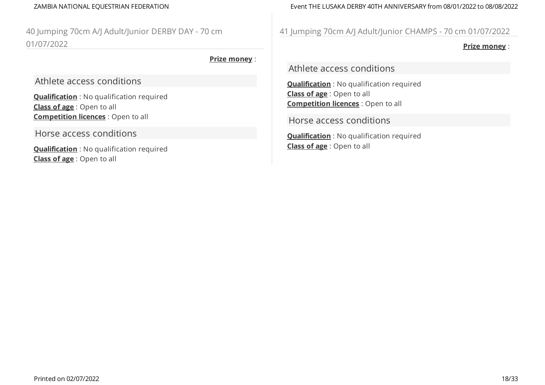40 Jumping 70cm A/J Adult/Junior DERBY DAY - 70 cm 01/07/2022

### **Prize money** :

Athlete access conditions

**Qualification** : No qualification required **Class of age** : Open to all **Competition licences** : Open to all

Horse access conditions

**Qualification** : No qualification required **Class of age** : Open to all

ZAMBIA NATIONAL EQUESTRIAN FEDERATION Event THE LUSAKA DERBY 40TH ANNIVERSARY from 08/01/2022 to 08/08/2022

41 Jumping 70cm A/J Adult/Junior CHAMPS - 70 cm 01/07/2022

**Prize money** :

Athlete access conditions

**Qualification** : No qualification required **Class of age** : Open to all **Competition licences** : Open to all

Horse access conditions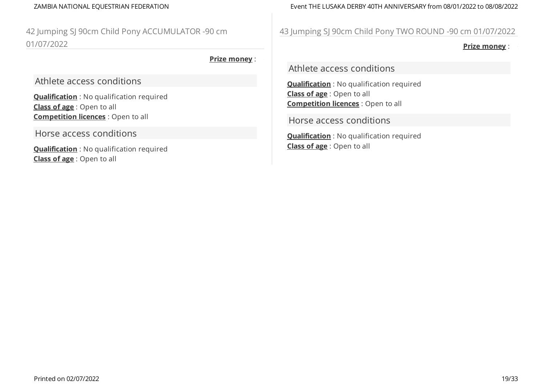42 Jumping SJ 90cm Child Pony ACCUMULATOR -90 cm 01/07/2022

### **Prize money** :

Athlete access conditions

**Qualification** : No qualification required **Class of age** : Open to all **Competition licences** : Open to all

Horse access conditions

**Qualification** : No qualification required **Class of age** : Open to all

ZAMBIA NATIONAL EQUESTRIAN FEDERATION Event THE LUSAKA DERBY 40TH ANNIVERSARY from 08/01/2022 to 08/08/2022

# 43 Jumping SJ 90cm Child Pony TWO ROUND -90 cm 01/07/2022

**Prize money** :

Athlete access conditions

**Qualification** : No qualification required **Class of age** : Open to all **Competition licences** : Open to all

Horse access conditions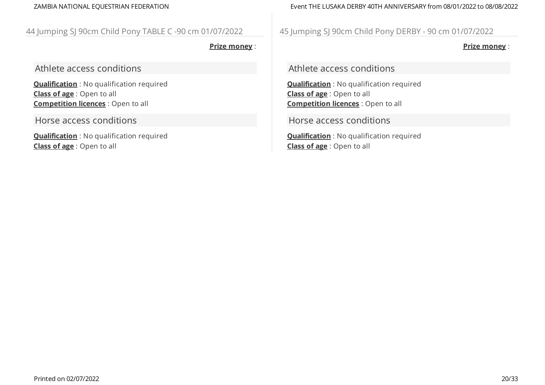# ZAMBIA NATIONAL EQUESTRIAN FEDERATION Event THE LUSAKA DERBY 40TH ANNIVERSARY from 08/01/2022 to 08/08/2022

# 44 Jumping SJ 90cm Child Pony TABLE C -90 cm 01/07/2022

**Prize money** :

Athlete access conditions

**Qualification** : No qualification required **Class of age** : Open to all **Competition licences** : Open to all

Horse access conditions

**Qualification** : No qualification required **Class of age** : Open to all

45 Jumping SJ 90cm Child Pony DERBY - 90 cm 01/07/2022

**Prize money** :

Athlete access conditions

**Qualification** : No qualification required **Class of age** : Open to all **Competition licences** : Open to all

Horse access conditions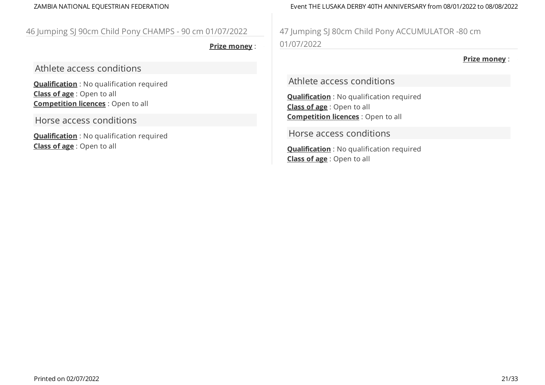# 46 Jumping SJ 90cm Child Pony CHAMPS - 90 cm 01/07/2022

**Prize money** :

Athlete access conditions

**Qualification** : No qualification required **Class of age** : Open to all **Competition licences** : Open to all

Horse access conditions

**Qualification** : No qualification required **Class of age** : Open to all

ZAMBIA NATIONAL EQUESTRIAN FEDERATION Event THE LUSAKA DERBY 40TH ANNIVERSARY from 08/01/2022 to 08/08/2022

47 Jumping SJ 80cm Child Pony ACCUMULATOR -80 cm 01/07/2022

**Prize money** :

Athlete access conditions

**Qualification** : No qualification required **Class of age** : Open to all **Competition licences** : Open to all

Horse access conditions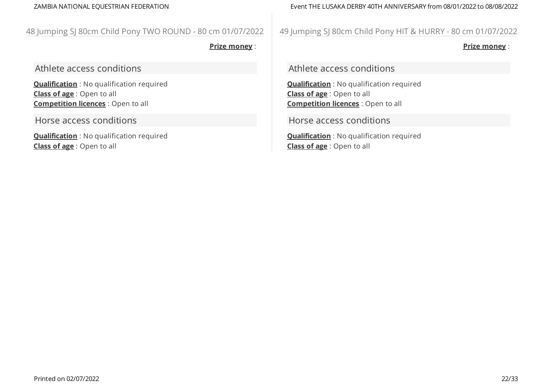### ZAMBIA NATIONAL EQUESTRIAN FEDERATION Event THE LUSAKA DERBY 40TH ANNIVERSARY from 08/01/2022 to 08/08/2022

# 48 Jumping SJ 80cm Child Pony TWO ROUND - 80 cm 01/07/2022

**Prize money** :

Athlete access conditions

**Qualification** : No qualification required **Class of age** : Open to all **Competition licences** : Open to all

Horse access conditions

**Qualification** : No qualification required **Class of age** : Open to all

49 Jumping SJ 80cm Child Pony HIT & HURRY - 80 cm 01/07/2022

**Prize money** :

Athlete access conditions

**Qualification** : No qualification required **Class of age** : Open to all **Competition licences** : Open to all

Horse access conditions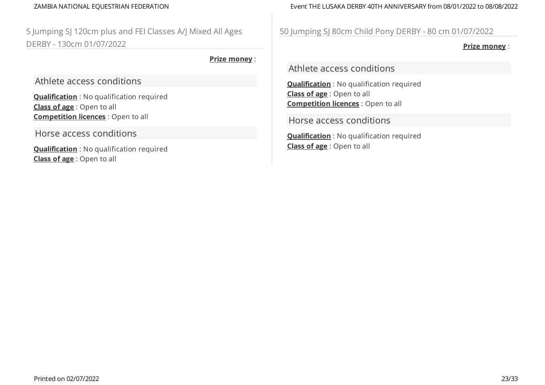5 Jumping SJ 120cm plus and FEI Classes A/J Mixed All Ages DERBY - 130cm 01/07/2022

**Prize money** :

Athlete access conditions

**Qualification** : No qualification required **Class of age** : Open to all **Competition licences** : Open to all

Horse access conditions

**Qualification** : No qualification required **Class of age** : Open to all

ZAMBIA NATIONAL EQUESTRIAN FEDERATION Event THE LUSAKA DERBY 40TH ANNIVERSARY from 08/01/2022 to 08/08/2022

50 Jumping SJ 80cm Child Pony DERBY - 80 cm 01/07/2022

**Prize money** :

Athlete access conditions

**Qualification** : No qualification required **Class of age** : Open to all **Competition licences** : Open to all

Horse access conditions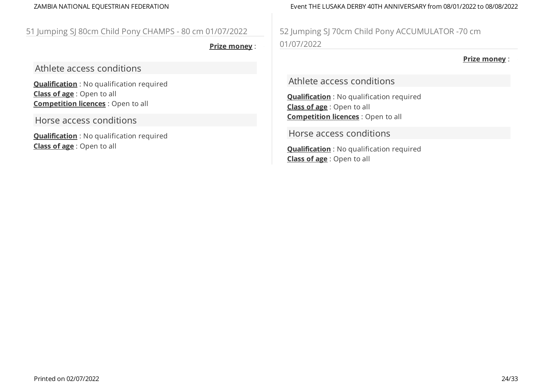# 51 Jumping SJ 80cm Child Pony CHAMPS - 80 cm 01/07/2022

**Prize money** :

Athlete access conditions

**Qualification** : No qualification required **Class of age** : Open to all **Competition licences** : Open to all

Horse access conditions

**Qualification** : No qualification required **Class of age** : Open to all

ZAMBIA NATIONAL EQUESTRIAN FEDERATION Event THE LUSAKA DERBY 40TH ANNIVERSARY from 08/01/2022 to 08/08/2022

52 Jumping SJ 70cm Child Pony ACCUMULATOR -70 cm 01/07/2022

**Prize money** :

Athlete access conditions

**Qualification** : No qualification required **Class of age** : Open to all **Competition licences** : Open to all

Horse access conditions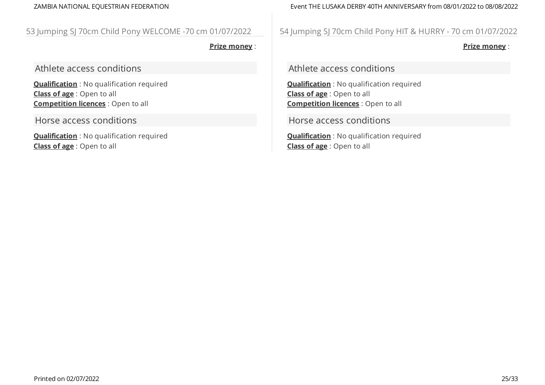### ZAMBIA NATIONAL EQUESTRIAN FEDERATION Event THE LUSAKA DERBY 40TH ANNIVERSARY from 08/01/2022 to 08/08/2022

# 53 Jumping SJ 70cm Child Pony WELCOME -70 cm 01/07/2022

**Prize money** :

Athlete access conditions

**Qualification** : No qualification required **Class of age** : Open to all **Competition licences** : Open to all

Horse access conditions

**Qualification** : No qualification required **Class of age** : Open to all

54 Jumping SJ 70cm Child Pony HIT & HURRY - 70 cm 01/07/2022

**Prize money** :

Athlete access conditions

**Qualification** : No qualification required **Class of age** : Open to all **Competition licences** : Open to all

Horse access conditions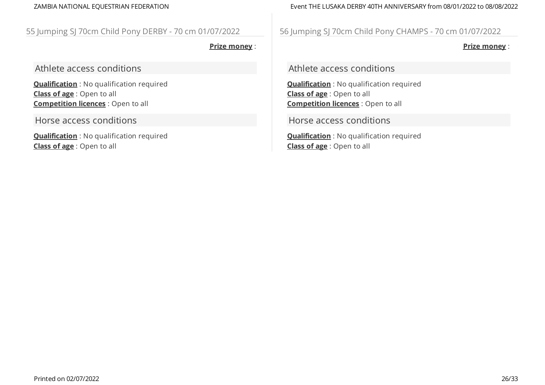# 55 Jumping SJ 70cm Child Pony DERBY - 70 cm 01/07/2022

**Prize money** :

Athlete access conditions

**Qualification** : No qualification required **Class of age** : Open to all **Competition licences** : Open to all

Horse access conditions

**Qualification** : No qualification required **Class of age** : Open to all

ZAMBIA NATIONAL EQUESTRIAN FEDERATION Event THE LUSAKA DERBY 40TH ANNIVERSARY from 08/01/2022 to 08/08/2022

56 Jumping SJ 70cm Child Pony CHAMPS - 70 cm 01/07/2022

**Prize money** :

Athlete access conditions

**Qualification** : No qualification required **Class of age** : Open to all **Competition licences** : Open to all

Horse access conditions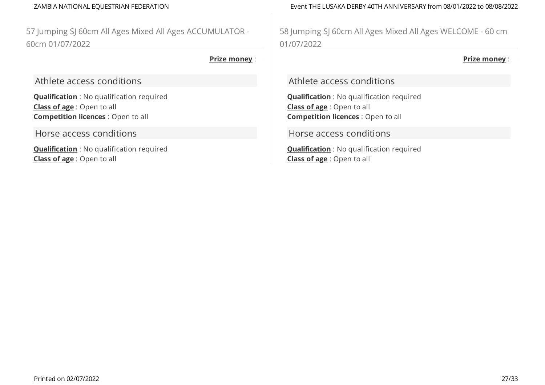57 Jumping SJ 60cm All Ages Mixed All Ages ACCUMULATOR - 60cm 01/07/2022

### **Prize money** :

Athlete access conditions

**Qualification** : No qualification required **Class of age** : Open to all **Competition licences** : Open to all

Horse access conditions

**Qualification** : No qualification required **Class of age** : Open to all

ZAMBIA NATIONAL EQUESTRIAN FEDERATION Event THE LUSAKA DERBY 40TH ANNIVERSARY from 08/01/2022 to 08/08/2022

58 Jumping SJ 60cm All Ages Mixed All Ages WELCOME - 60 cm 01/07/2022

**Prize money** :

Athlete access conditions

**Qualification** : No qualification required **Class of age** : Open to all **Competition licences** : Open to all

Horse access conditions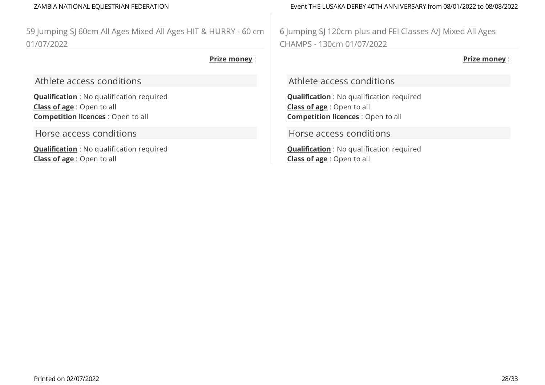59 Jumping SJ 60cm All Ages Mixed All Ages HIT & HURRY - 60 cm 01/07/2022

### **Prize money** :

Athlete access conditions

**Qualification** : No qualification required **Class of age** : Open to all **Competition licences** : Open to all

Horse access conditions

**Qualification** : No qualification required **Class of age** : Open to all

ZAMBIA NATIONAL EQUESTRIAN FEDERATION Event THE LUSAKA DERBY 40TH ANNIVERSARY from 08/01/2022 to 08/08/2022

6 Jumping SJ 120cm plus and FEI Classes A/J Mixed All Ages CHAMPS - 130cm 01/07/2022

**Prize money** :

Athlete access conditions

**Qualification** : No qualification required **Class of age** : Open to all **Competition licences** : Open to all

Horse access conditions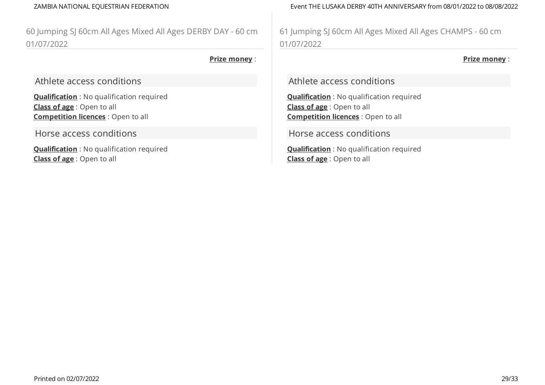60 Jumping SJ 60cm All Ages Mixed All Ages DERBY DAY - 60 cm 01/07/2022

### **Prize money** :

Athlete access conditions

**Qualification** : No qualification required **Class of age** : Open to all **Competition licences** : Open to all

Horse access conditions

**Qualification** : No qualification required **Class of age** : Open to all

ZAMBIA NATIONAL EQUESTRIAN FEDERATION Event THE LUSAKA DERBY 40TH ANNIVERSARY from 08/01/2022 to 08/08/2022

61 Jumping SJ 60cm All Ages Mixed All Ages CHAMPS - 60 cm 01/07/2022

**Prize money** :

Athlete access conditions

**Qualification** : No qualification required **Class of age** : Open to all **Competition licences** : Open to all

Horse access conditions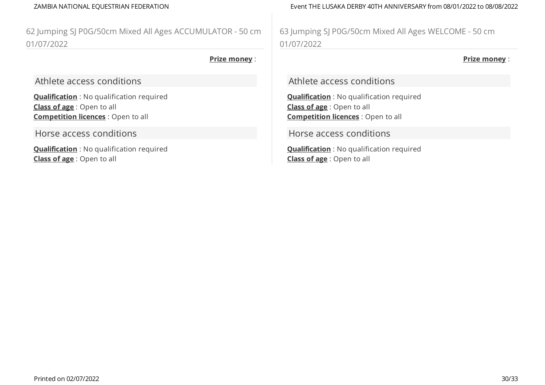62 Jumping SJ P0G/50cm Mixed All Ages ACCUMULATOR - 50 cm 01/07/2022

### **Prize money** :

Athlete access conditions

**Qualification** : No qualification required **Class of age** : Open to all **Competition licences** : Open to all

Horse access conditions

**Qualification** : No qualification required **Class of age** : Open to all

ZAMBIA NATIONAL EQUESTRIAN FEDERATION Event THE LUSAKA DERBY 40TH ANNIVERSARY from 08/01/2022 to 08/08/2022

63 Jumping SJ P0G/50cm Mixed All Ages WELCOME - 50 cm 01/07/2022

**Prize money** :

Athlete access conditions

**Qualification** : No qualification required **Class of age** : Open to all **Competition licences** : Open to all

Horse access conditions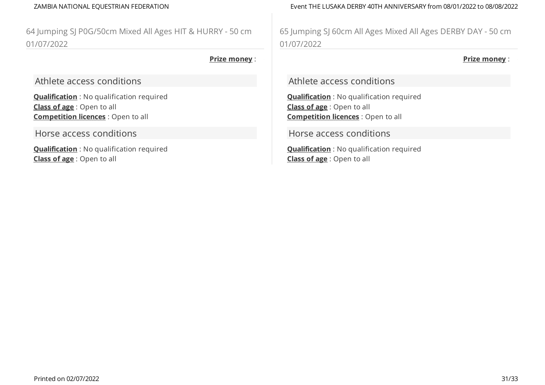64 Jumping SJ P0G/50cm Mixed All Ages HIT & HURRY - 50 cm 01/07/2022

### **Prize money** :

Athlete access conditions

**Qualification** : No qualification required **Class of age** : Open to all **Competition licences** : Open to all

Horse access conditions

**Qualification** : No qualification required **Class of age** : Open to all

ZAMBIA NATIONAL EQUESTRIAN FEDERATION Event THE LUSAKA DERBY 40TH ANNIVERSARY from 08/01/2022 to 08/08/2022

65 Jumping SJ 60cm All Ages Mixed All Ages DERBY DAY - 50 cm 01/07/2022

**Prize money** :

Athlete access conditions

**Qualification** : No qualification required **Class of age** : Open to all **Competition licences** : Open to all

Horse access conditions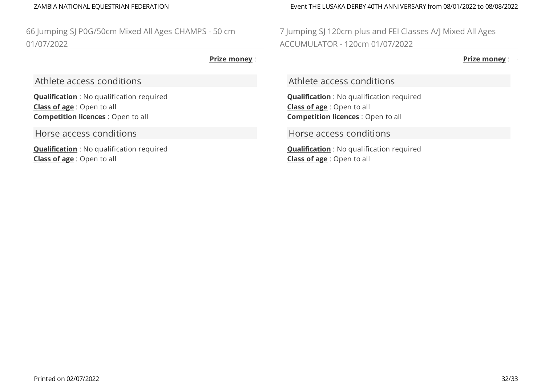66 Jumping SJ P0G/50cm Mixed All Ages CHAMPS - 50 cm 01/07/2022

### **Prize money** :

Athlete access conditions

**Qualification** : No qualification required **Class of age** : Open to all **Competition licences** : Open to all

Horse access conditions

**Qualification** : No qualification required **Class of age** : Open to all

ZAMBIA NATIONAL EQUESTRIAN FEDERATION Event THE LUSAKA DERBY 40TH ANNIVERSARY from 08/01/2022 to 08/08/2022

7 Jumping SJ 120cm plus and FEI Classes A/J Mixed All Ages ACCUMULATOR - 120cm 01/07/2022

**Prize money** :

Athlete access conditions

**Qualification** : No qualification required **Class of age** : Open to all **Competition licences** : Open to all

Horse access conditions